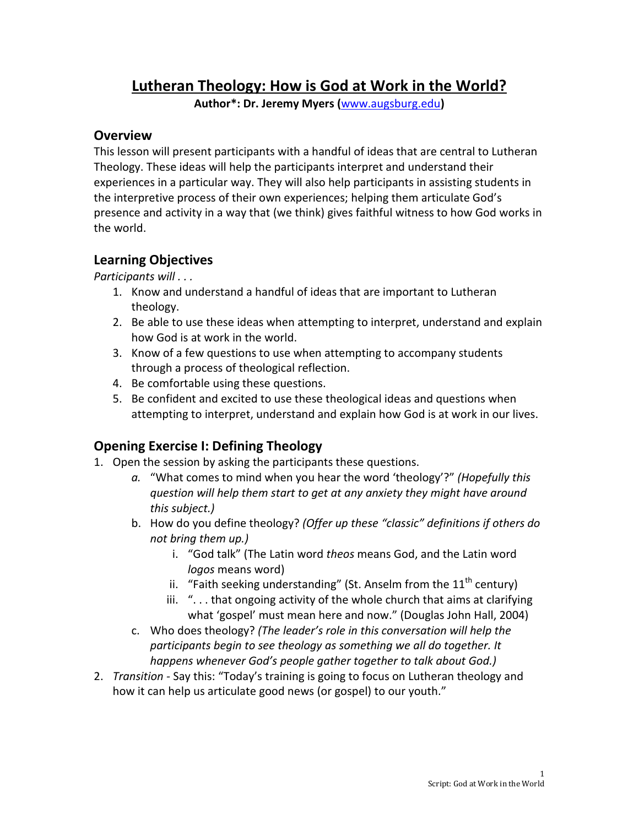# Lutheran Theology: How is God at Work in the World?

Author\*: Dr. Jeremy Myers (www.augsburg.edu)

#### Overview

This lesson will present participants with a handful of ideas that are central to Lutheran Theology. These ideas will help the participants interpret and understand their experiences in a particular way. They will also help participants in assisting students in the interpretive process of their own experiences; helping them articulate God's presence and activity in a way that (we think) gives faithful witness to how God works in the world.

### Learning Objectives

Participants will . . .

- 1. Know and understand a handful of ideas that are important to Lutheran theology.
- 2. Be able to use these ideas when attempting to interpret, understand and explain how God is at work in the world.
- 3. Know of a few questions to use when attempting to accompany students through a process of theological reflection.
- 4. Be comfortable using these questions.
- 5. Be confident and excited to use these theological ideas and questions when attempting to interpret, understand and explain how God is at work in our lives.

# Opening Exercise I: Defining Theology

- 1. Open the session by asking the participants these questions.
	- a. "What comes to mind when you hear the word 'theology'?" (Hopefully this question will help them start to get at any anxiety they might have around this subject.)
	- b. How do you define theology? (Offer up these "classic" definitions if others do not bring them up.)
		- i. "God talk" (The Latin word theos means God, and the Latin word logos means word)
		- ii. "Faith seeking understanding" (St. Anselm from the  $11<sup>th</sup>$  century)
		- iii. ". . . that ongoing activity of the whole church that aims at clarifying what 'gospel' must mean here and now." (Douglas John Hall, 2004)
	- c. Who does theology? (The leader's role in this conversation will help the participants begin to see theology as something we all do together. It happens whenever God's people gather together to talk about God.)
- 2. Transition Say this: "Today's training is going to focus on Lutheran theology and how it can help us articulate good news (or gospel) to our youth."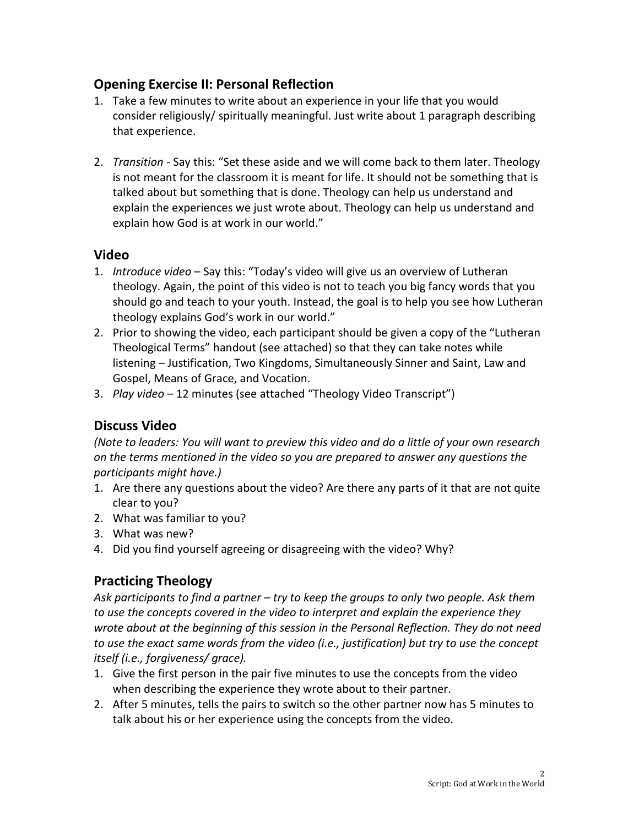### Opening Exercise II: Personal Reflection

- 1. Take a few minutes to write about an experience in your life that you would consider religiously/ spiritually meaningful. Just write about 1 paragraph describing that experience.
- 2. Transition Say this: "Set these aside and we will come back to them later. Theology is not meant for the classroom it is meant for life. It should not be something that is talked about but something that is done. Theology can help us understand and explain the experiences we just wrote about. Theology can help us understand and explain how God is at work in our world."

#### Video

- 1. Introduce video Say this: "Today's video will give us an overview of Lutheran theology. Again, the point of this video is not to teach you big fancy words that you should go and teach to your youth. Instead, the goal is to help you see how Lutheran theology explains God's work in our world."
- 2. Prior to showing the video, each participant should be given a copy of the "Lutheran Theological Terms" handout (see attached) so that they can take notes while listening – Justification, Two Kingdoms, Simultaneously Sinner and Saint, Law and Gospel, Means of Grace, and Vocation.
- 3. Play video 12 minutes (see attached "Theology Video Transcript")

### Discuss Video

(Note to leaders: You will want to preview this video and do a little of your own research on the terms mentioned in the video so you are prepared to answer any questions the participants might have.)

- 1. Are there any questions about the video? Are there any parts of it that are not quite clear to you?
- 2. What was familiar to you?
- 3. What was new?
- 4. Did you find yourself agreeing or disagreeing with the video? Why?

## Practicing Theology

Ask participants to find a partner – try to keep the groups to only two people. Ask them to use the concepts covered in the video to interpret and explain the experience they wrote about at the beginning of this session in the Personal Reflection. They do not need to use the exact same words from the video (i.e., justification) but try to use the concept itself (i.e., forgiveness/ grace).

- 1. Give the first person in the pair five minutes to use the concepts from the video when describing the experience they wrote about to their partner.
- 2. After 5 minutes, tells the pairs to switch so the other partner now has 5 minutes to talk about his or her experience using the concepts from the video.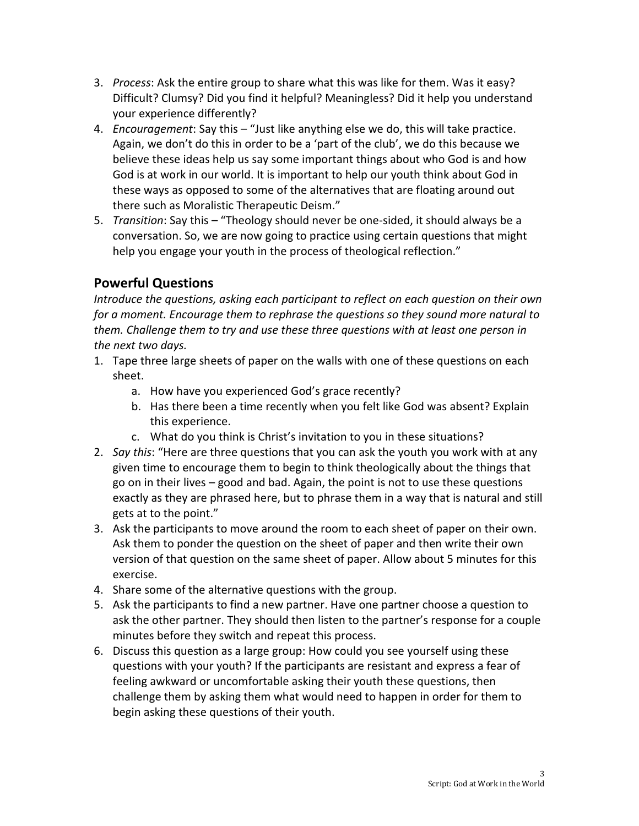- 3. Process: Ask the entire group to share what this was like for them. Was it easy? Difficult? Clumsy? Did you find it helpful? Meaningless? Did it help you understand your experience differently?
- 4. Encouragement: Say this "Just like anything else we do, this will take practice. Again, we don't do this in order to be a 'part of the club', we do this because we believe these ideas help us say some important things about who God is and how God is at work in our world. It is important to help our youth think about God in these ways as opposed to some of the alternatives that are floating around out there such as Moralistic Therapeutic Deism."
- 5. Transition: Say this "Theology should never be one-sided, it should always be a conversation. So, we are now going to practice using certain questions that might help you engage your youth in the process of theological reflection."

# Powerful Questions

Introduce the questions, asking each participant to reflect on each question on their own for a moment. Encourage them to rephrase the questions so they sound more natural to them. Challenge them to try and use these three questions with at least one person in the next two days.

- 1. Tape three large sheets of paper on the walls with one of these questions on each sheet.
	- a. How have you experienced God's grace recently?
	- b. Has there been a time recently when you felt like God was absent? Explain this experience.
	- c. What do you think is Christ's invitation to you in these situations?
- 2. Say this: "Here are three questions that you can ask the youth you work with at any given time to encourage them to begin to think theologically about the things that go on in their lives – good and bad. Again, the point is not to use these questions exactly as they are phrased here, but to phrase them in a way that is natural and still gets at to the point."
- 3. Ask the participants to move around the room to each sheet of paper on their own. Ask them to ponder the question on the sheet of paper and then write their own version of that question on the same sheet of paper. Allow about 5 minutes for this exercise.
- 4. Share some of the alternative questions with the group.
- 5. Ask the participants to find a new partner. Have one partner choose a question to ask the other partner. They should then listen to the partner's response for a couple minutes before they switch and repeat this process.
- 6. Discuss this question as a large group: How could you see yourself using these questions with your youth? If the participants are resistant and express a fear of feeling awkward or uncomfortable asking their youth these questions, then challenge them by asking them what would need to happen in order for them to begin asking these questions of their youth.